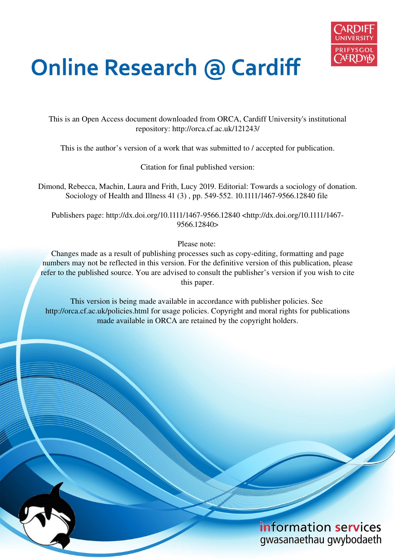

## **Online Research @ Cardiff**

This is an Open Access document downloaded from ORCA, Cardiff University's institutional repository: http://orca.cf.ac.uk/121243/

This is the author's version of a work that was submitted to / accepted for publication.

Citation for final published version:

Dimond, Rebecca, Machin, Laura and Frith, Lucy 2019. Editorial: Towards a sociology of donation. Sociology of Health and Illness 41 (3) , pp. 549-552. 10.1111/1467-9566.12840 file

Publishers page: http://dx.doi.org/10.1111/1467-9566.12840 <http://dx.doi.org/10.1111/1467- 9566.12840>

Please note:

Changes made as a result of publishing processes such as copy-editing, formatting and page numbers may not be reflected in this version. For the definitive version of this publication, please refer to the published source. You are advised to consult the publisher's version if you wish to cite this paper.

This version is being made available in accordance with publisher policies. See http://orca.cf.ac.uk/policies.html for usage policies. Copyright and moral rights for publications made available in ORCA are retained by the copyright holders.

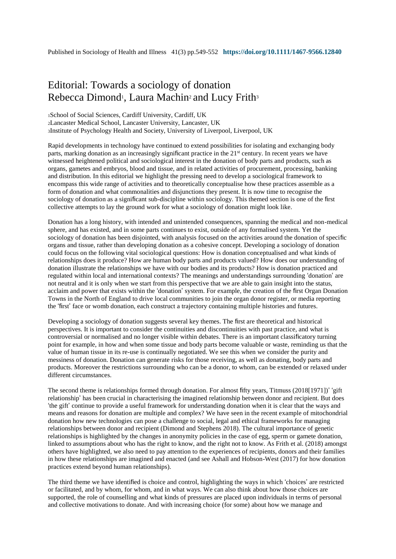## Editorial: Towards a sociology of donation Rebecca Dimond<sup>1</sup>, Laura Machin<sup>2</sup> and Lucy Frith<sup>3</sup>

<sup>1</sup>School of Social Sciences, Cardiff University, Cardiff, UK <sup>2</sup>Lancaster Medical School, Lancaster University, Lancaster, UK <sup>3</sup>Institute of Psychology Health and Society, University of Liverpool, Liverpool, UK

Rapid developments in technology have continued to extend possibilities for isolating and exchanging body parts, marking donation as an increasingly significant practice in the 21<sup>st</sup> century. In recent years we have witnessed heightened political and sociological interest in the donation of body parts and products, such as organs, gametes and embryos, blood and tissue, and in related activities of procurement, processing, banking and distribution. In this editorial we highlight the pressing need to develop a sociological framework to encompass this wide range of activities and to theoretically conceptualise how these practices assemble as a form of donation and what commonalities and disjunctions they present. It is now time to recognise the sociology of donation as a significant sub-discipline within sociology. This themed section is one of the first collective attempts to lay the ground work for what a sociology of donation might look like.

Donation has a long history, with intended and unintended consequences, spanning the medical and non-medical sphere, and has existed, and in some parts continues to exist, outside of any formalised system. Yet the sociology of donation has been disjointed, with analysis focused on the activities around the donation of specific organs and tissue, rather than developing donation as a cohesive concept. Developing a sociology of donation could focus on the following vital sociological questions: How is donation conceptualised and what kinds of relationships does it produce? How are human body parts and products valued? How does our understanding of donation illustrate the relationships we have with our bodies and its products? How is donation practiced and regulated within local and international contexts? The meanings and understandings surrounding 'donation' are not neutral and it is only when we start from this perspective that we are able to gain insight into the status, acclaim and power that exists within the 'donation' system. For example, the creation of the first Organ Donation Towns in the North of England to drive local communities to join the organ donor register, or media reporting the 'first' face or womb donation, each construct a trajectory containing multiple histories and futures.

Developing a sociology of donation suggests several key themes. The first are theoretical and historical perspectives. It is important to consider the continuities and discontinuities with past practice, and what is controversial or normalised and no longer visible within debates. There is an important classificatory turning point for example, in how and when some tissue and body parts become valuable or waste, reminding us that the value of human tissue in its re-use is continually negotiated. We see this when we consider the purity and messiness of donation. Donation can generate risks for those receiving, as well as donating, body parts and products. Moreover the restrictions surrounding who can be a donor, to whom, can be extended or relaxed under different circumstances.

The second theme is relationships formed through donation. For almost fifty years, Titmuss (2018[1971])' 'gift relationship' has been crucial in characterising the imagined relationship between donor and recipient. But does 'the gift' continue to provide a useful framework for understanding donation when it is clear that the ways and means and reasons for donation are multiple and complex? We have seen in the recent example of mitochondrial donation how new technologies can pose a challenge to social, legal and ethical frameworks for managing relationships between donor and recipient (Dimond and Stephens 2018). The cultural importance of genetic relationships is highlighted by the changes in anonymity policies in the case of egg, sperm or gamete donation, linked to assumptions about who has the right to know, and the right not to know. As Frith et al. (2018) amongst others have highlighted, we also need to pay attention to the experiences of recipients, donors and their families in how these relationships are imagined and enacted (and see Ashall and Hobson-West (2017) for how donation practices extend beyond human relationships).

The third theme we have identified is choice and control, highlighting the ways in which 'choices' are restricted or facilitated, and by whom, for whom, and in what ways. We can also think about how those choices are supported, the role of counselling and what kinds of pressures are placed upon individuals in terms of personal and collective motivations to donate. And with increasing choice (for some) about how we manage and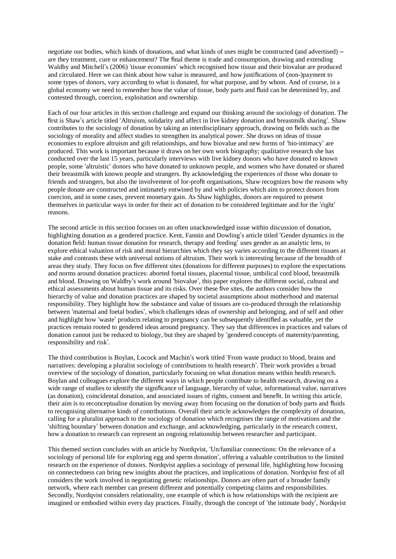negotiate our bodies, which kinds of donations, and what kinds of uses might be constructed (and advertised) – are they treatment, cure or enhancement? The final theme is trade and consumption, drawing and extending Waldby and Mitchell's (2006) 'tissue economies' which recognised how tissue and their biovalue are produced and circulated. Here we can think about how value is measured, and how justifications of (non-)payment to some types of donors, vary according to what is donated, for what purpose, and by whom. And of course, in a global economy we need to remember how the value of tissue, body parts and fluid can be determined by, and contested through, coercion, exploitation and ownership.

Each of our four articles in this section challenge and expand our thinking around the sociology of donation. The first is Shaw's article titled 'Altruism, solidarity and affect in live kidney donation and breastmilk sharing'. Shaw contributes to the sociology of donation by taking an interdisciplinary approach, drawing on fields such as the sociology of morality and affect studies to strengthen its analytical power. She draws on ideas of tissue economies to explore altruism and gift relationships, and how biovalue and new forms of 'bio-intimacy' are produced. This work is important because it draws on her own work biography; qualitative research she has conducted over the last 15 years, particularly interviews with live kidney donors who have donated to known people, some 'altruistic' donors who have donated to unknown people, and women who have donated or shared their breastmilk with known people and strangers. By acknowledging the experiences of those who donate to friends and strangers, but also the involvement of for-profit organisations, Shaw recognizes how the reasons why people donate are constructed and intimately entwined by and with policies which aim to protect donors from coercion, and in some cases, prevent monetary gain. As Shaw highlights, donors are required to present themselves in particular ways in order for their act of donation to be considered legitimate and for the 'right' reasons.

The second article in this section focuses on an often unacknowledged issue within discussion of donation, highlighting donation as a gendered practice. Kent, Fannin and Dowling's article titled 'Gender dynamics in the donation field: human tissue donation for research, therapy and feeding' uses gender as an analytic lens, to explore ethical valuation of risk and moral hierarchies which they say varies according to the different tissues at stake and contrasts these with universal notions of altruism. Their work is interesting because of the breadth of areas they study. They focus on five different sites (donations for different purposes) to explore the expectations and norms around donation practices: aborted foetal tissues, placental tissue, umbilical cord blood, breastmilk and blood. Drawing on Waldby's work around 'biovalue', this paper explores the different social, cultural and ethical assessments about human tissue and its risks. Over these five sites, the authors consider how the hierarchy of value and donation practices are shaped by societal assumptions about motherhood and maternal responsibility. They highlight how the substance and value of tissues are co-produced through the relationship between 'maternal and foetal bodies', which challenges ideas of ownership and belonging, and of self and other and highlight how 'waste' products relating to pregnancy can be subsequently identified as valuable, yet the practices remain rooted to gendered ideas around pregnancy. They say that differences in practices and values of donation cannot just be reduced to biology, but they are shaped by 'gendered concepts of maternity/parenting, responsibility and risk'.

The third contribution is Boylan, Locock and Machin's work titled 'From waste product to blood, brains and narratives: developing a pluralist sociology of contributions to health research'. Their work provides a broad overview of the sociology of donation, particularly focusing on what donation means within health research. Boylan and colleagues explore the different ways in which people contribute to health research, drawing on a wide range of studies to identify the significance of language, hierarchy of value, informational value, narratives (as donation), coincidental donation, and associated issues of rights, consent and benefit. In writing this article, their aim is to reconceptualise donation by moving away from focusing on the donation of body parts and fluids to recognising alternative kinds of contributions. Overall their article acknowledges the complexity of donation, calling for a pluralist approach to the sociology of donation which recognises the range of motivations and the 'shifting boundary' between donation and exchange, and acknowledging, particularly in the research context, how a donation to research can represent an ongoing relationship between researcher and participant.

This themed section concludes with an article by Nordqvist, 'Un/familiar connections: On the relevance of a sociology of personal life for exploring egg and sperm donation', offering a valuable contribution to the limited research on the experience of donors. Nordqvist applies a sociology of personal life, highlighting how focusing on connectedness can bring new insights about the practices, and implications of donation. Nordqvist first of all considers the work involved in negotiating genetic relationships. Donors are often part of a broader family network, where each member can present different and potentially competing claims and responsibilities. Secondly, Nordqvist considers relationality, one example of which is how relationships with the recipient are imagined or embodied within every day practices. Finally, through the concept of 'the intimate body', Nordqvist